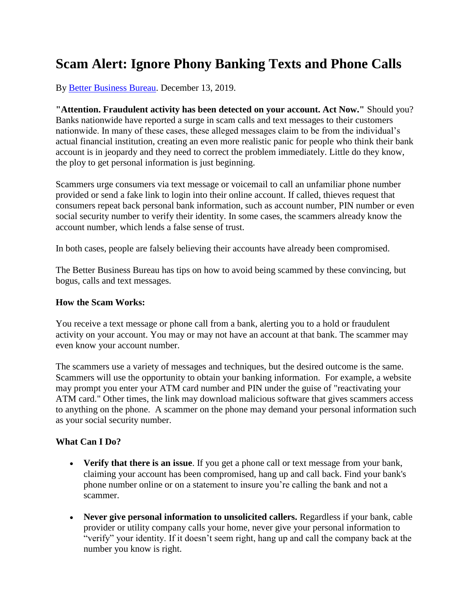## **Scam Alert: Ignore Phony Banking Texts and Phone Calls**

By [Better Business Bureau.](https://www.bbb.org/) December 13, 2019.

**"Attention. Fraudulent activity has been detected on your account. Act Now."** Should you? Banks nationwide have reported a surge in scam calls and text messages to their customers nationwide. In many of these cases, these alleged messages claim to be from the individual's actual financial institution, creating an even more realistic panic for people who think their bank account is in jeopardy and they need to correct the problem immediately. Little do they know, the ploy to get personal information is just beginning.

Scammers urge consumers via text message or voicemail to call an unfamiliar phone number provided or send a fake link to login into their online account. If called, thieves request that consumers repeat back personal bank information, such as account number, PIN number or even social security number to verify their identity. In some cases, the scammers already know the account number, which lends a false sense of trust.

In both cases, people are falsely believing their accounts have already been compromised.

The Better Business Bureau has tips on how to avoid being scammed by these convincing, but bogus, calls and text messages.

## **How the Scam Works:**

You receive a text message or phone call from a bank, alerting you to a hold or fraudulent activity on your account. You may or may not have an account at that bank. The scammer may even know your account number.

The scammers use a variety of messages and techniques, but the desired outcome is the same. Scammers will use the opportunity to obtain your banking information. For example, a website may prompt you enter your ATM card number and PIN under the guise of "reactivating your ATM card." Other times, the link may download malicious software that gives scammers access to anything on the phone. A scammer on the phone may demand your personal information such as your social security number.

## **What Can I Do?**

- **Verify that there is an issue**. If you get a phone call or text message from your bank, claiming your account has been compromised, hang up and call back. Find your bank's phone number online or on a statement to insure you're calling the bank and not a scammer.
- **Never give personal information to unsolicited callers.** Regardless if your bank, cable provider or utility company calls your home, never give your personal information to "verify" your identity. If it doesn't seem right, hang up and call the company back at the number you know is right.